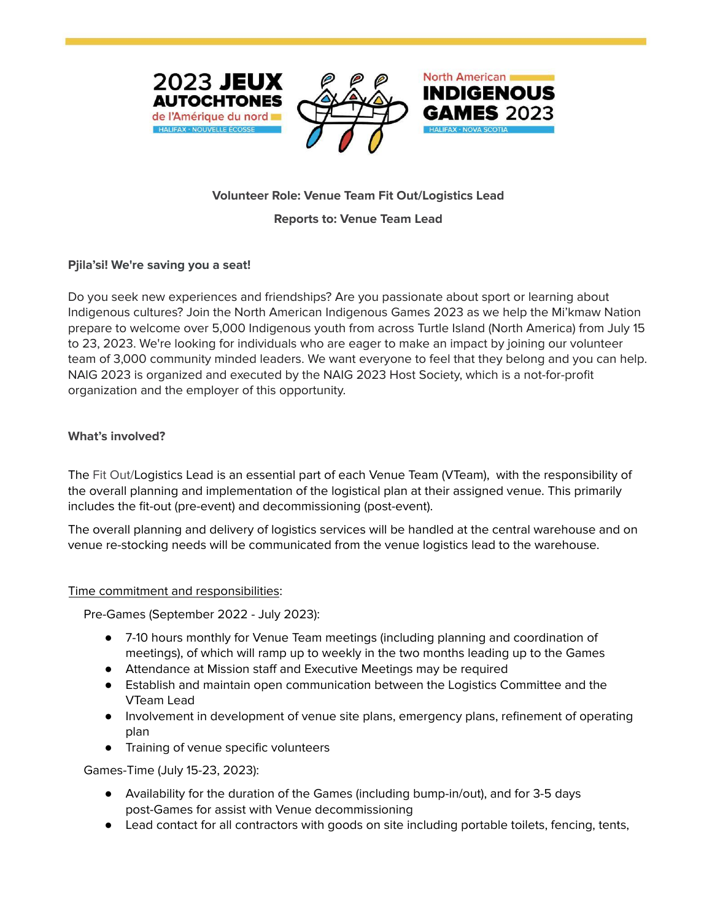





# **Volunteer Role: Venue Team Fit Out/Logistics Lead**

#### **Reports to: Venue Team Lead**

#### **Pjila'si! We're saving you a seat!**

Do you seek new experiences and friendships? Are you passionate about sport or learning about Indigenous cultures? Join the North American Indigenous Games 2023 as we help the Mi'kmaw Nation prepare to welcome over 5,000 Indigenous youth from across Turtle Island (North America) from July 15 to 23, 2023. We're looking for individuals who are eager to make an impact by joining our volunteer team of 3,000 community minded leaders. We want everyone to feel that they belong and you can help. NAIG 2023 is organized and executed by the NAIG 2023 Host Society, which is a not-for-profit organization and the employer of this opportunity.

#### **What's involved?**

The Fit Out/Logistics Lead is an essential part of each Venue Team (VTeam), with the responsibility of the overall planning and implementation of the logistical plan at their assigned venue. This primarily includes the fit-out (pre-event) and decommissioning (post-event).

The overall planning and delivery of logistics services will be handled at the central warehouse and on venue re-stocking needs will be communicated from the venue logistics lead to the warehouse.

#### Time commitment and responsibilities:

Pre-Games (September 2022 - July 2023):

- 7-10 hours monthly for Venue Team meetings (including planning and coordination of meetings), of which will ramp up to weekly in the two months leading up to the Games
- Attendance at Mission staff and Executive Meetings may be required
- Establish and maintain open communication between the Logistics Committee and the VTeam Lead
- Involvement in development of venue site plans, emergency plans, refinement of operating plan
- Training of venue specific volunteers

Games-Time (July 15-23, 2023):

- Availability for the duration of the Games (including bump-in/out), and for 3-5 days post-Games for assist with Venue decommissioning
- Lead contact for all contractors with goods on site including portable toilets, fencing, tents,